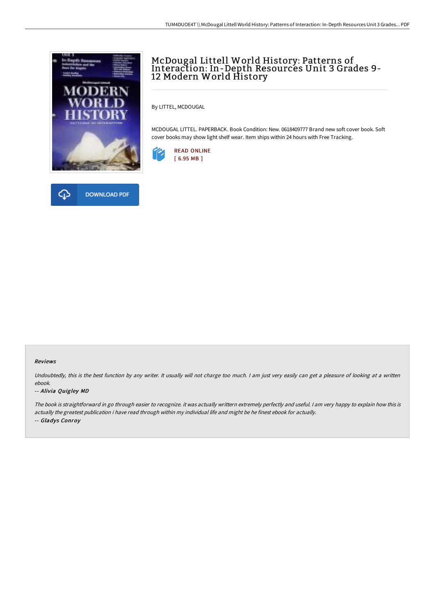



## McDougal Littell World History: Patterns of Interaction: In-Depth Resources Unit 3 Grades 9- 12 Modern World History

By LITTEL, MCDOUGAL

MCDOUGAL LITTEL. PAPERBACK. Book Condition: New. 0618409777 Brand new soft cover book. Soft cover books may show light shelf wear. Item ships within 24 hours with Free Tracking.



### Reviews

Undoubtedly, this is the best function by any writer. It usually will not charge too much. I am just very easily can get a pleasure of looking at a written ebook.

### -- Alivia Quigley MD

The book is straightforward in go through easier to recognize. it was actually writtern extremely perfectly and useful. <sup>I</sup> am very happy to explain how this is actually the greatest publication i have read through within my individual life and might be he finest ebook for actually. -- Gladys Conroy